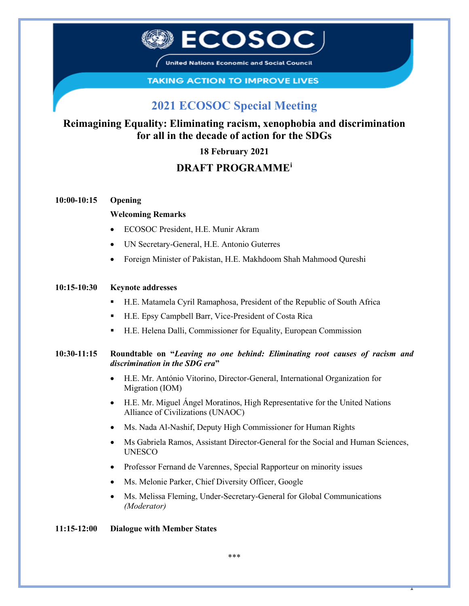

United Nations Economic and Social Council

#### **TAKING ACTION TO IMPROVE LIVES**

# **2021 ECOSOC Special Meeting**

## **Reimagining Equality: Eliminating racism, xenophobia and discrimination for all in the decade of action for the SDGs**

#### **18 February 2021**

### **DRAFT PROGRAMME[i](#page-1-0)**

#### **10:00-10:15 Opening**

#### **Welcoming Remarks**

- ECOSOC President, H.E. Munir Akram
- UN Secretary-General, H.E. Antonio Guterres
- Foreign Minister of Pakistan, H.E. Makhdoom Shah Mahmood Qureshi

#### **10:15-10:30 Keynote addresses**

- H.E. Matamela Cyril Ramaphosa, President of the Republic of South Africa
- H.E. Epsy Campbell Barr, Vice-President of Costa Rica
- H.E. Helena Dalli, Commissioner for Equality, European Commission

#### **10:30-11:15 Roundtable on "***Leaving no one behind: Eliminating root causes of racism and discrimination in the SDG era***"**

- H.E. Mr. António Vitorino, Director-General, International Organization for Migration (IOM)
- H.E. Mr. Miguel Ángel Moratinos, High Representative for the United Nations Alliance of Civilizations (UNAOC)
- Ms. Nada Al-Nashif, Deputy High Commissioner for Human Rights
- Ms Gabriela Ramos, Assistant Director-General for the Social and Human Sciences, UNESCO
- Professor Fernand de Varennes, Special Rapporteur on minority issues
- Ms. [Melonie Parker,](https://www.blog.google/perspectives/melonie-parker/) Chief Diversity Officer, Google
- Ms. Melissa Fleming, Under-Secretary-General for Global Communications *(Moderator)*

#### **11:15-12:00 Dialogue with Member States**